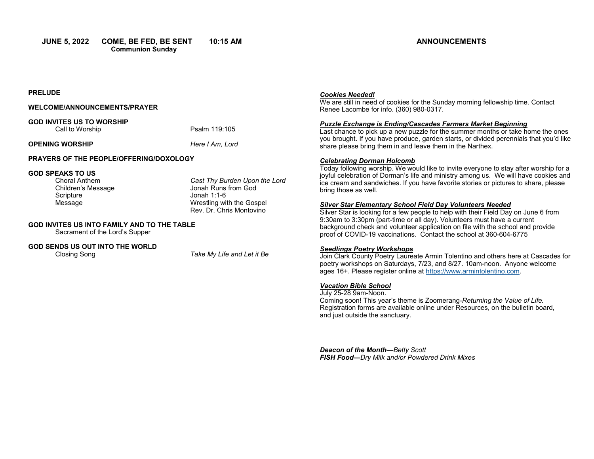**JUNE 5, 2022 COME, BE FED, BE SENT 10:15 AM Communion Sunday**

## **ANNOUNCEMENTS**

## **PRELUDE**

## **WELCOME/ANNOUNCEMENTS/PRAYER**

**GOD INVITES US TO WORSHIP** Call to Worship **Psalm 119:105** 

## **OPENING WORSHIP** *Here I Am, Lord*

## **PRAYERS OF THE PEOPLE/OFFERING/DOXOLOGY**

# **GOD SPEAKS TO US**

Children's Message<br>Scripture Scripture Jonah 1:1-6<br>Message Wrestling wi

Cast Thy Burden Upon the Lord<br>Jonah Runs from God Wrestling with the Gospel Rev. Dr. Chris Montovino

## **GOD INVITES US INTO FAMILY AND TO THE TABLE**

Sacrament of the Lord's Supper

## **GOD SENDS US OUT INTO THE WORLD**

Closing Song *Take My Life and Let it Be*

#### *Cookies Needed!*

We are still in need of cookies for the Sunday morning fellowship time. Contact Renee Lacombe for info. (360) 980-0317.

#### *Puzzle Exchange is Ending/Cascades Farmers Market Beginning*

Last chance to pick up a new puzzle for the summer months or take home the ones you brought. If you have produce, garden starts, or divided perennials that you'd like share please bring them in and leave them in the Narthex.

#### *Celebrating Dorman Holcomb*

Today following worship. We would like to invite everyone to stay after worship for a joyful celebration of Dorman's life and ministry among us. We will have cookies and ice cream and sandwiches. If you have favorite stories or pictures to share, please bring those as well.

## *Silver Star Elementary School Field Day Volunteers Needed*

Silver Star is looking for a few people to help with their Field Day on June 6 from 9:30am to 3:30pm (part-time or all day). Volunteers must have a current background check and volunteer application on file with the school and provide proof of COVID-19 vaccinations. Contact the school at 360-604-6775

## *Seedlings Poetry Workshops*

Join Clark County Poetry Laureate Armin Tolentino and others here at Cascades for poetry workshops on Saturdays, 7/23, and 8/27. 10am-noon. Anyone welcome ages 16+. Please register online at [https://www.armintolentino.com.](https://www.armintolentino.com) 

## *Vacation Bible School*

July 25-28 9am-Noon. Coming soon! This year's theme is Zoomerang-*Returning the Value of Life.*  Registration forms are available online under Resources, on the bulletin board, and just outside the sanctuary.

*Deacon of the Month—Betty Scott FISH Food—Dry Milk and/or Powdered Drink Mixes*